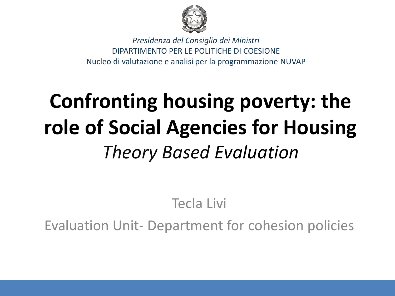

*Presidenza del Consiglio dei Ministri*  DIPARTIMENTO PER LE POLITICHE DI COESIONE Nucleo di valutazione e analisi per la programmazione NUVAP

# **Confronting housing poverty: the role of Social Agencies for Housing**  *Theory Based Evaluation*

# Tecla Livi

Evaluation Unit- Department for cohesion policies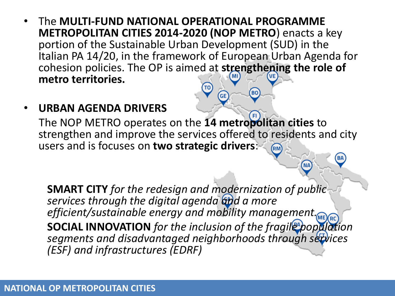- The **MULTI-FUND NATIONAL OPERATIONAL PROGRAMME METROPOLITAN CITIES 2014-2020 (NOP METRO**) enacts a key portion of the Sustainable Urban Development (SUD) in the Italian PA 14/20, in the framework of European Urban Agenda for cohesion policies. The OP is aimed at **strengthening the role of metro territories.**
- **URBAN AGENDA DRIVERS**

The NOP METRO operates on the **14 metropolitan cities** to strengthen and improve the services offered to residents and city users and is focuses on **two strategic drivers**: (RM)

**GE** 

**BO** 

**NA** 

**SMART CITY** *for the redesign and modernization of public*  services through the digital agenda and a more *efficient/sustainable energy and mobility management.* **SOCIAL INNOVATION** *for the inclusion of the fragile population segments and disadvantaged neighborhoods through services (ESF) and infrastructures (EDRF)*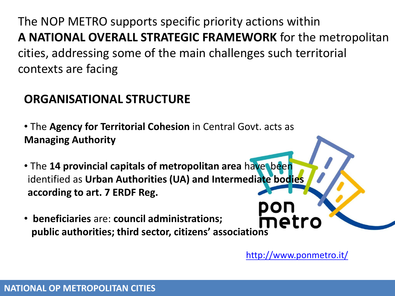The NOP METRO supports specific priority actions within **A NATIONAL OVERALL STRATEGIC FRAMEWORK** for the metropolitan cities, addressing some of the main challenges such territorial contexts are facing

# **ORGANISATIONAL STRUCTURE**

• The **Agency for Territorial Cohesion** in Central Govt. acts as **Managing Authority**

- The **14 provincial capitals of metropolitan area** have been identified as **Urban Authorities (UA) and Intermediate bodies according to art. 7 ERDF Reg.**
- • **beneficiaries** are: **council administrations;**  meti  **public authorities; third sector, citizens' associations**

<http://www.ponmetro.it/>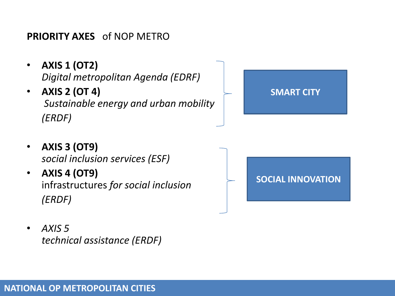#### **PRIORITY AXES** of NOP METRO

- **AXIS 1 (OT2)** *Digital metropolitan Agenda (EDRF)*
- **AXIS 2 (OT 4)**  *Sustainable energy and urban mobility (ERDF)*

# **SMART CITY**

- **AXIS 3 (OT9)** *social inclusion services (ESF)*
- **AXIS 4 (OT9)** infrastructures *for social inclusion (ERDF)*



• *AXIS 5 technical assistance (ERDF)*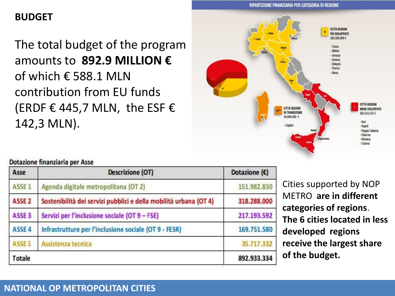#### **BUDGET**

The total budget of the program amounts to **892.9 MILLION €** of which  $\epsilon$  588.1 MLN contribution from EU funds (ERDF € 445,7 MLN, the ESF  $\epsilon$ 142,3 MLN).



#### Dotazione finanziaria per Asse

| Asse              | <b>Descrizione (OT)</b>                                           | Dotazione $(E)$ |
|-------------------|-------------------------------------------------------------------|-----------------|
| ASSE <sub>1</sub> | Agenda digitale metropolitana (OT 2)                              | 151,982,830     |
| ASSE <sub>2</sub> | Sostenibilità dei servizi pubblici e della mobilità urbana (OT 4) | 318.288.000     |
| ASSE <sub>3</sub> | Servizi per l'inclusione sociale (OT 9 - FSE)                     | 217.193.592     |
| ASSE 4            | Infrastrutture per l'inclusione sociale (OT 9 - FESR)             | 169.751.580     |
| ASSE <sub>5</sub> | Assistenza tecnica                                                | 35.717.332      |
| <b>Totale</b>     |                                                                   | 892.933.334     |

Cities supported by NOP METRO **are in different categories of regions**. **The 6 cities located in less developed regions receive the largest share of the budget.**

#### **NATIONAL OP METROPOLITAN CITIES**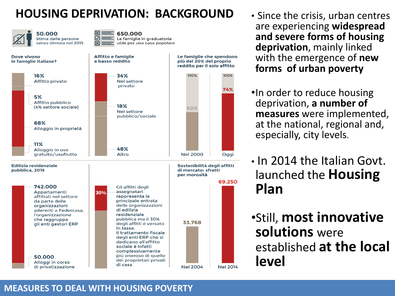# **HOUSING DEPRIVATION: BACKGROUND** • Since the crisis, urban centres

Affitto e famiglie

a basso reddito

50.000 Stima delle persone senza dimora nel 2015

di privatizzazione



Le famiglie che spendono

più del 20% del proprio

**Nel 2004** 

**Nel 2014** 

Dove vivono le famiglie italiane?



- are experiencing **widespread and severe forms of housing deprivation**, mainly linked with the emergence of **new forms of urban poverty**
- •In order to reduce housing deprivation, **a number of measures** were implemented, at the national, regional and, especially, city levels.
- In 2014 the Italian Govt. launched the **Housing Plan**

•Still, **most innovative solutions** were established **at the local level**

#### **MEASURES TO DEAL WITH HOUSING POVERTY**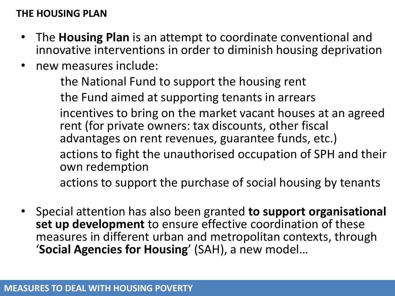#### **THE HOUSING PLAN**

- The **Housing Plan** is an attempt to coordinate conventional and innovative interventions in order to diminish housing deprivation
- new measures include:

the National Fund to support the housing rent

the Fund aimed at supporting tenants in arrears

incentives to bring on the market vacant houses at an agreed rent (for private owners: tax discounts, other fiscal advantages on rent revenues, guarantee funds, etc.)

actions to fight the unauthorised occupation of SPH and their own redemption

actions to support the purchase of social housing by tenants

• Special attention has also been granted **to support organisational set up development** to ensure effective coordination of these measures in different urban and metropolitan contexts, through '**Social Agencies for Housing**' (SAH), a new model…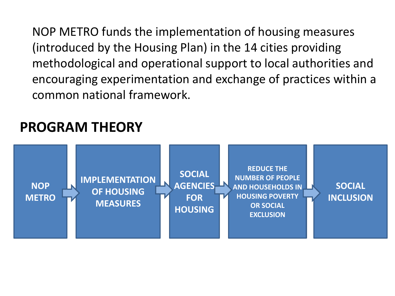NOP METRO funds the implementation of housing measures (introduced by the Housing Plan) in the 14 cities providing methodological and operational support to local authorities and encouraging experimentation and exchange of practices within a common national framework.

# **PROGRAM THEORY**

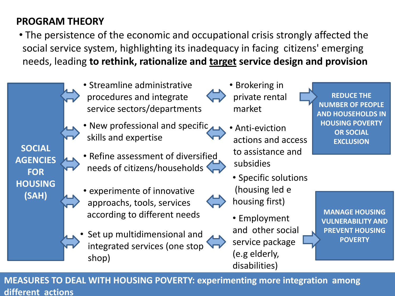### **PROGRAM THEORY**

• The persistence of the economic and occupational crisis strongly affected the social service system, highlighting its inadequacy in facing citizens' emerging needs, leading **to rethink, rationalize and target service design and provision**



**REDUCE THE NUMBER OF PEOPLE AND HOUSEHOLDS IN HOUSING POVERTY OR SOCIAL EXCLUSION**

• Specific solutions (housing led e housing first)

• Employment and other social service package (e.g elderly, disabilities)

**MANAGE HOUSING VULNERABILITY AND PREVENT HOUSING POVERTY** 

**MEASURES TO DEAL WITH HOUSING POVERTY: experimenting more integration among different actions**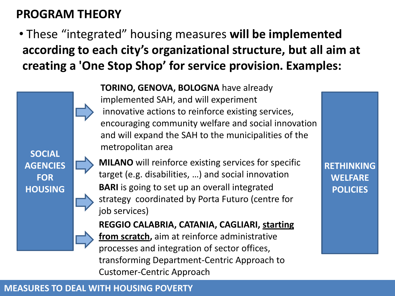# **PROGRAM THEORY**

**SOCIAL** 

**AGENCIES** 

**FOR** 

**HOUSING**

• These "integrated" housing measures **will be implemented according to each city's organizational structure, but all aim at creating a 'One Stop Shop' for service provision. Examples:**

> **TORINO, GENOVA, BOLOGNA** have already implemented SAH, and will experiment innovative actions to reinforce existing services, encouraging community welfare and social innovation and will expand the SAH to the municipalities of the metropolitan area

**BARI** is going to set up an overall integrated strategy coordinated by Porta Futuro (centre for job services) **MILANO** will reinforce existing services for specific target (e.g. disabilities, …) and social innovation

**REGGIO CALABRIA, CATANIA, CAGLIARI, starting from scratch,** aim at reinforce administrative processes and integration of sector offices, transforming Department-Centric Approach to Customer-Centric Approach

**RETHINKING WELFARE POLICIES** 

#### **MEASURES TO DEAL WITH HOUSING POVERTY**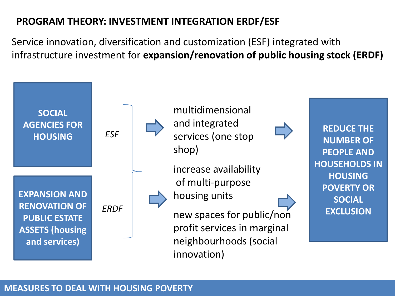#### **PROGRAM THEORY: INVESTMENT INTEGRATION ERDF/ESF**

Service innovation, diversification and customization (ESF) integrated with infrastructure investment for **expansion/renovation of public housing stock (ERDF)**



#### **MEASURES TO DEAL WITH HOUSING POVERTY**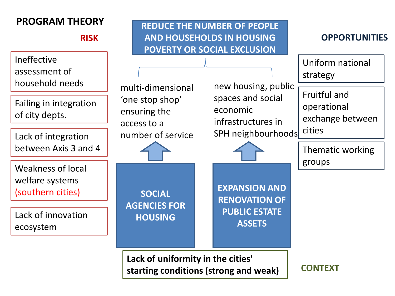**RISK**

Ineffective assessment of household needs

Failing in integration of city depts.

between Axis 3 and 4  $\sim$   $\sim$   $\sim$   $\sim$   $\sim$  Thematic working

Weakness of local welfare systems (southern cities)

Lack of innovation ecosystem

**PROGRAM THEORY REDUCE THE NUMBER OF PEOPLE AND HOUSEHOLDS IN HOUSING POVERTY OR SOCIAL EXCLUSION**

**OPPORTUNITIES**

Uniform national strategy

multi-dimensional 'one stop shop' ensuring the access to a number of service

**SOCIAL** 

**AGENCIES FOR** 

**HOUSING**

new housing, public spaces and social economic infrastructures in Lack of integration and all number of service and SPH neighbourhoods cities

**EXPANSION AND** 

**RENOVATION OF** 

**PUBLIC ESTATE** 

**ASSETS**

Fruitful and operational exchange between

groups

**Lack of uniformity in the cities' starting conditions (strong and weak)** 

**CONTEXT**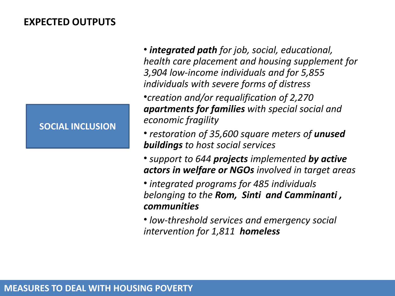#### **EXPECTED OUTPUTS**

#### **SOCIAL INCLUSION**

• *integrated path for job, social, educational, health care placement and housing supplement for 3,904 low-income individuals and for 5,855 individuals with severe forms of distress*  •*creation and/or requalification of 2,270 apartments for families with special social and economic fragility*

- *restoration of 35,600 square meters of unused buildings to host social services*
- *support to 644 projects implemented by active actors in welfare or NGOs involved in target areas*
- *integrated programs for 485 individuals belonging to the Rom, Sinti and Camminanti , communities*

• *low-threshold services and emergency social intervention for 1,811 homeless*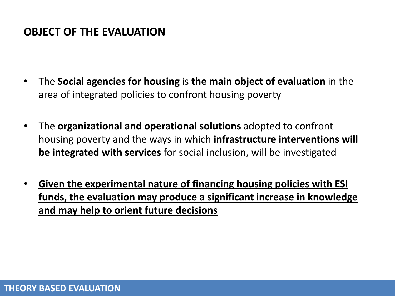#### **OBJECT OF THE EVALUATION**

- The **Social agencies for housing** is **the main object of evaluation** in the area of integrated policies to confront housing poverty
- The **organizational and operational solutions** adopted to confront housing poverty and the ways in which **infrastructure interventions will be integrated with services** for social inclusion, will be investigated
- **Given the experimental nature of financing housing policies with ESI funds, the evaluation may produce a significant increase in knowledge and may help to orient future decisions**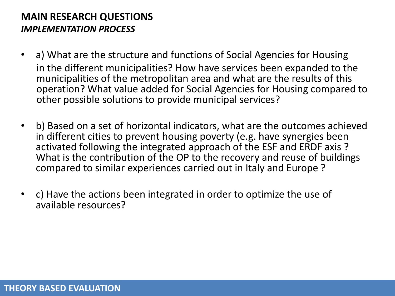#### **MAIN RESEARCH QUESTIONS** *IMPLEMENTATION PROCESS*

- a) What are the structure and functions of Social Agencies for Housing in the different municipalities? How have services been expanded to the municipalities of the metropolitan area and what are the results of this operation? What value added for Social Agencies for Housing compared to other possible solutions to provide municipal services?
- b) Based on a set of horizontal indicators, what are the outcomes achieved in different cities to prevent housing poverty (e.g. have synergies been activated following the integrated approach of the ESF and ERDF axis ? What is the contribution of the OP to the recovery and reuse of buildings compared to similar experiences carried out in Italy and Europe ?
- c) Have the actions been integrated in order to optimize the use of available resources?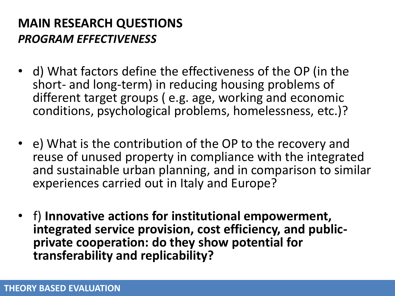# **MAIN RESEARCH QUESTIONS** *PROGRAM EFFECTIVENESS*

- d) What factors define the effectiveness of the OP (in the short- and long-term) in reducing housing problems of different target groups ( e.g. age, working and economic conditions, psychological problems, homelessness, etc.)?
- e) What is the contribution of the OP to the recovery and reuse of unused property in compliance with the integrated and sustainable urban planning, and in comparison to similar experiences carried out in Italy and Europe?
- f) **Innovative actions for institutional empowerment, integrated service provision, cost efficiency, and publicprivate cooperation: do they show potential for transferability and replicability?**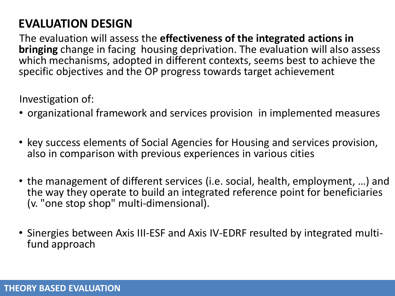# **EVALUATION DESIGN**

The evaluation will assess the **effectiveness of the integrated actions in bringing** change in facing housing deprivation. The evaluation will also assess which mechanisms, adopted in different contexts, seems best to achieve the specific objectives and the OP progress towards target achievement

Investigation of:

- organizational framework and services provision in implemented measures
- key success elements of Social Agencies for Housing and services provision, also in comparison with previous experiences in various cities
- the management of different services (i.e. social, health, employment, …) and the way they operate to build an integrated reference point for beneficiaries (v. "one stop shop" multi-dimensional).
- Sinergies between Axis III-ESF and Axis IV-EDRF resulted by integrated multifund approach